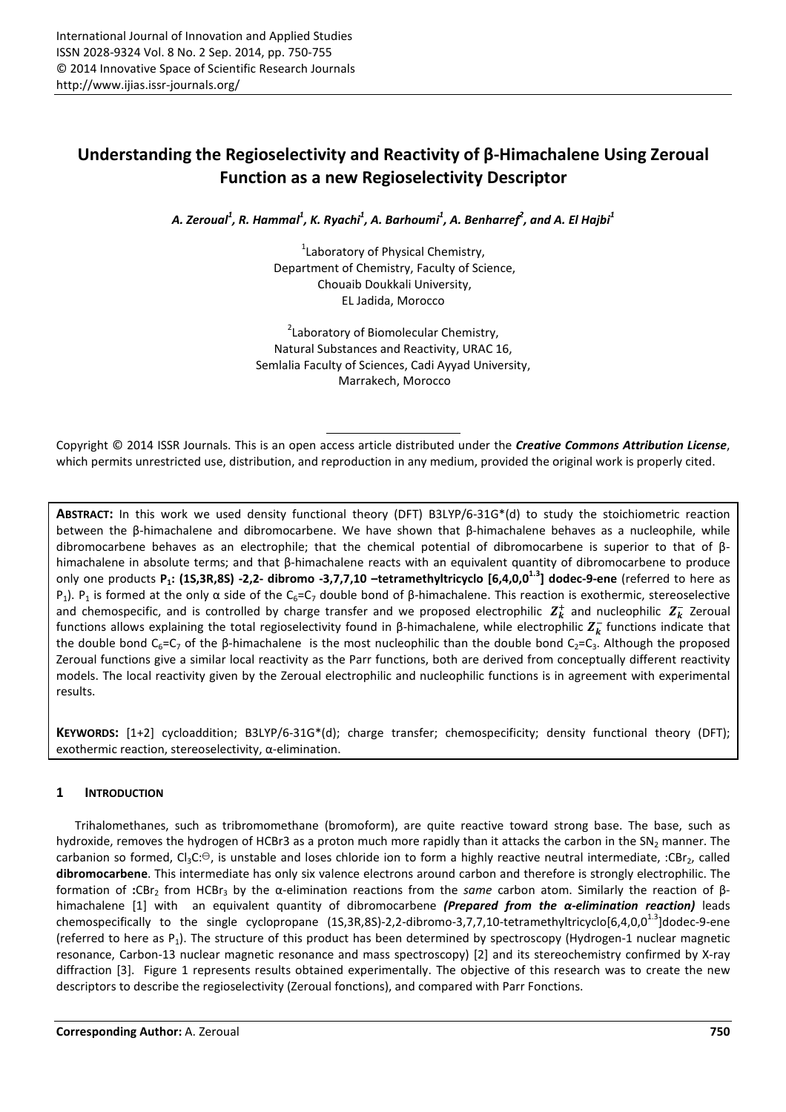# **Understanding the Regioselectivity and Reactivity of β-Himachalene Using Zeroual Function as a new Regioselectivity Descriptor**

*A. Zeroual<sup>1</sup> , R. Hammal<sup>1</sup> , K. Ryachi<sup>1</sup> , A. Barhoumi<sup>1</sup> , A. Benharref<sup>2</sup> , and A. El Hajbi<sup>1</sup>*

<sup>1</sup> Laboratory of Physical Chemistry, Department of Chemistry, Faculty of Science, Chouaib Doukkali University, EL Jadida, Morocco

<sup>2</sup> Laboratory of Biomolecular Chemistry, Natural Substances and Reactivity, URAC 16, Semlalia Faculty of Sciences, Cadi Ayyad University, Marrakech, Morocco

Copyright © 2014 ISSR Journals. This is an open access article distributed under the *Creative Commons Attribution License*, which permits unrestricted use, distribution, and reproduction in any medium, provided the original work is properly cited.

**ABSTRACT:** In this work we used density functional theory (DFT) B3LYP/6-31G\*(d) to study the stoichiometric reaction between the β-himachalene and dibromocarbene. We have shown that β-himachalene behaves as a nucleophile, while dibromocarbene behaves as an electrophile; that the chemical potential of dibromocarbene is superior to that of βhimachalene in absolute terms; and that β-himachalene reacts with an equivalent quantity of dibromocarbene to produce only one products **P1: (1S,3R,8S) -2,2- dibromo -3,7,7,10 –tetramethyltricyclo [6,4,0,01.3] dodec-9-ene** (referred to here as P<sub>1</sub>). P<sub>1</sub> is formed at the only α side of the C<sub>6</sub>=C<sub>7</sub> double bond of β-himachalene. This reaction is exothermic, stereoselective and chemospecific, and is controlled by charge transfer and we proposed electrophilic  $Z_k^+$  and nucleophilic  $Z_k^-$  Zeroual functions allows explaining the total regioselectivity found in β-himachalene, while electrophilic  $Z_k^-$  functions indicate that the double bond  $C_6 = C_7$  of the β-himachalene is the most nucleophilic than the double bond  $C_2 = C_3$ . Although the proposed Zeroual functions give a similar local reactivity as the Parr functions, both are derived from conceptually different reactivity models. The local reactivity given by the Zeroual electrophilic and nucleophilic functions is in agreement with experimental results.

**KEYWORDS:** [1+2] cycloaddition; B3LYP/6-31G\*(d); charge transfer; chemospecificity; density functional theory (DFT); exothermic reaction, stereoselectivity, α-elimination.

## **1 INTRODUCTION**

Trihalomethanes, such as tribromomethane (bromoform), are quite reactive toward strong base. The base, such as hydroxide, removes the hydrogen of HCBr3 as a proton much more rapidly than it attacks the carbon in the SN<sub>2</sub> manner. The carbanion so formed, Cl<sub>3</sub>C: $\Theta$ , is unstable and loses chloride ion to form a highly reactive neutral intermediate, :CBr<sub>2</sub>, called **dibromocarbene**. This intermediate has only six valence electrons around carbon and therefore is strongly electrophilic. The formation of **:**CBr2 from HCBr3 by the α-elimination reactions from the *same* carbon atom. Similarly the reaction of βhimachalene [1] with an equivalent quantity of dibromocarbene *(Prepared from the α-elimination reaction)* leads chemospecifically to the single cyclopropane  $(15,3R,8S)-2,2$ -dibromo-3,7,7,10-tetramethyltricyclo[6,4,0,0<sup>1.3</sup>]dodec-9-ene (referred to here as  $P_1$ ). The structure of this product has been determined by spectroscopy (Hydrogen-1 nuclear magnetic resonance, Carbon-13 nuclear magnetic resonance and mass spectroscopy) [2] and its stereochemistry confirmed by X-ray diffraction [3]. Figure 1 represents results obtained experimentally. The objective of this research was to create the new descriptors to describe the regioselectivity (Zeroual fonctions), and compared with Parr Fonctions.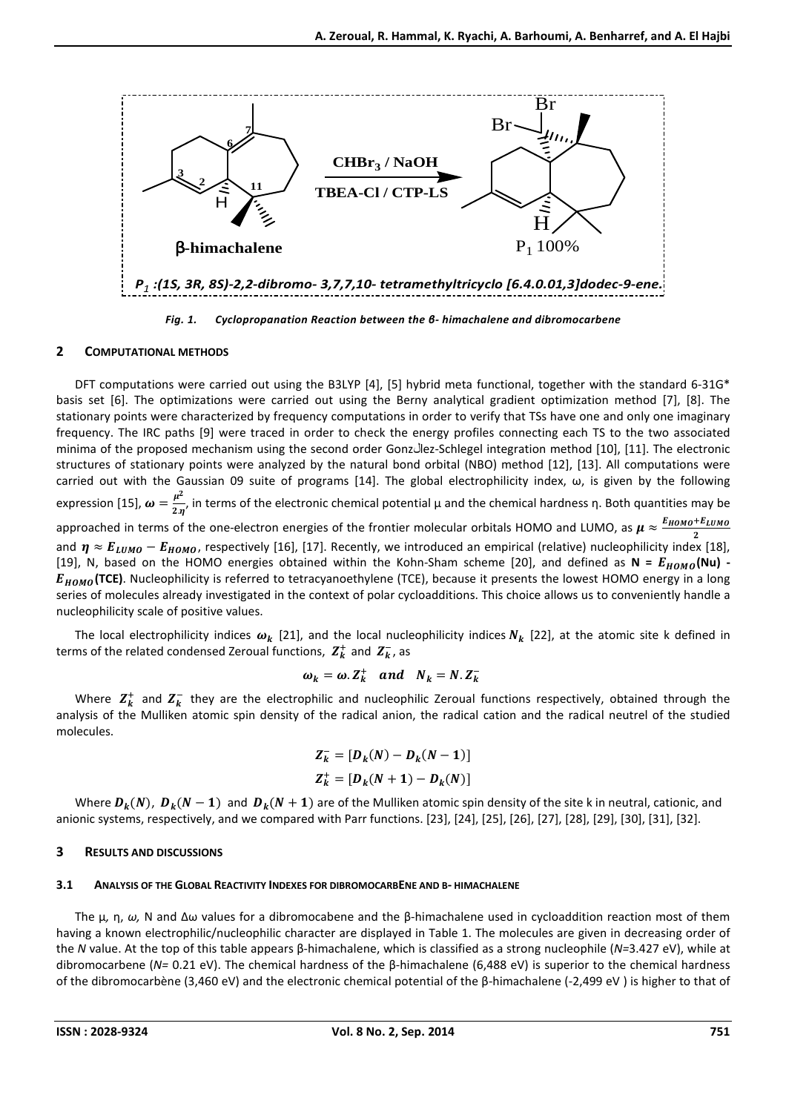

*Fig. 1. Cyclopropanation Reaction between the β- himachalene and dibromocarbene* 

## **2 COMPUTATIONAL METHODS**

DFT computations were carried out using the B3LYP [4], [5] hybrid meta functional, together with the standard 6-31G\* basis set [6]. The optimizations were carried out using the Berny analytical gradient optimization method [7], [8]. The stationary points were characterized by frequency computations in order to verify that TSs have one and only one imaginary frequency. The IRC paths [9] were traced in order to check the energy profiles connecting each TS to the two associated minima of the proposed mechanism using the second order Gonzلlez-Schlegel integration method [10], [11]. The electronic structures of stationary points were analyzed by the natural bond orbital (NBO) method [12], [13]. All computations were carried out with the Gaussian 09 suite of programs [14]. The global electrophilicity index, ω, is given by the following expression [15],  $\boldsymbol{\omega} = \frac{\mu^2}{2\pi}$  $\frac{\mu}{2\eta}$ , in terms of the electronic chemical potential μ and the chemical hardness η. Both quantities may be approached in terms of the one-electron energies of the frontier molecular orbitals HOMO and LUMO, as  $\mu \approx \frac{E_{HOMO}+E_{LUMO}}{2}$  $\mathbf{z}$ and  $\eta \approx E_{LUMO}-E_{HOMO}$ , respectively [16], [17]. Recently, we introduced an empirical (relative) nucleophilicity index [18], [19], N, based on the HOMO energies obtained within the Kohn-Sham scheme [20], and defined as  $N = E_{HOMO}(Nu)$  -**(TCE)**. Nucleophilicity is referred to tetracyanoethylene (TCE), because it presents the lowest HOMO energy in a long series of molecules already investigated in the context of polar cycloadditions. This choice allows us to conveniently handle a nucleophilicity scale of positive values.

The local electrophilicity indices  $\omega_k$  [21], and the local nucleophilicity indices  $N_k$  [22], at the atomic site k defined in terms of the related condensed Zeroual functions,  $\boldsymbol{Z}_{\boldsymbol{k}}^{+}$  and  $\boldsymbol{Z}_{\boldsymbol{k}}^{-}$ , as

$$
\omega_k = \omega \cdot Z_k^+ \quad and \quad N_k = N \cdot Z_k^-
$$

Where  $Z_k^+$  and  $Z_k^-$  they are the electrophilic and nucleophilic Zeroual functions respectively, obtained through the analysis of the Mulliken atomic spin density of the radical anion, the radical cation and the radical neutrel of the studied molecules.

$$
Z_k^- = [D_k(N) - D_k(N-1)]
$$
  

$$
Z_k^+ = [D_k(N+1) - D_k(N)]
$$

Where  $\bm{D_k}(N)$ ,  $\bm{D_k}(N-1)$  and  $\bm{D_k}(N+1)$  are of the Mulliken atomic spin density of the site k in neutral, cationic, and anionic systems, respectively, and we compared with Parr functions. [23], [24], [25], [26], [27], [28], [29], [30], [31], [32].

### **3 RESULTS AND DISCUSSIONS**

## **3.1 ANALYSIS OF THE GLOBAL REACTIVITY INDEXES FOR DIBROMOCARBENE AND Β- HIMACHALENE**

The μ*,* η, *ω,* Ν and Δω values for a dibromocabene and the β-himachalene used in cycloaddition reaction most of them having a known electrophilic/nucleophilic character are displayed in Table 1. The molecules are given in decreasing order of the *N* value. At the top of this table appears β-himachalene, which is classified as a strong nucleophile (*N=*3.427 eV), while at dibromocarbene (*N=* 0.21 eV). The chemical hardness of the β-himachalene (6,488 eV) is superior to the chemical hardness of the dibromocarbène (3,460 eV) and the electronic chemical potential of the β-himachalene (-2,499 eV ) is higher to that of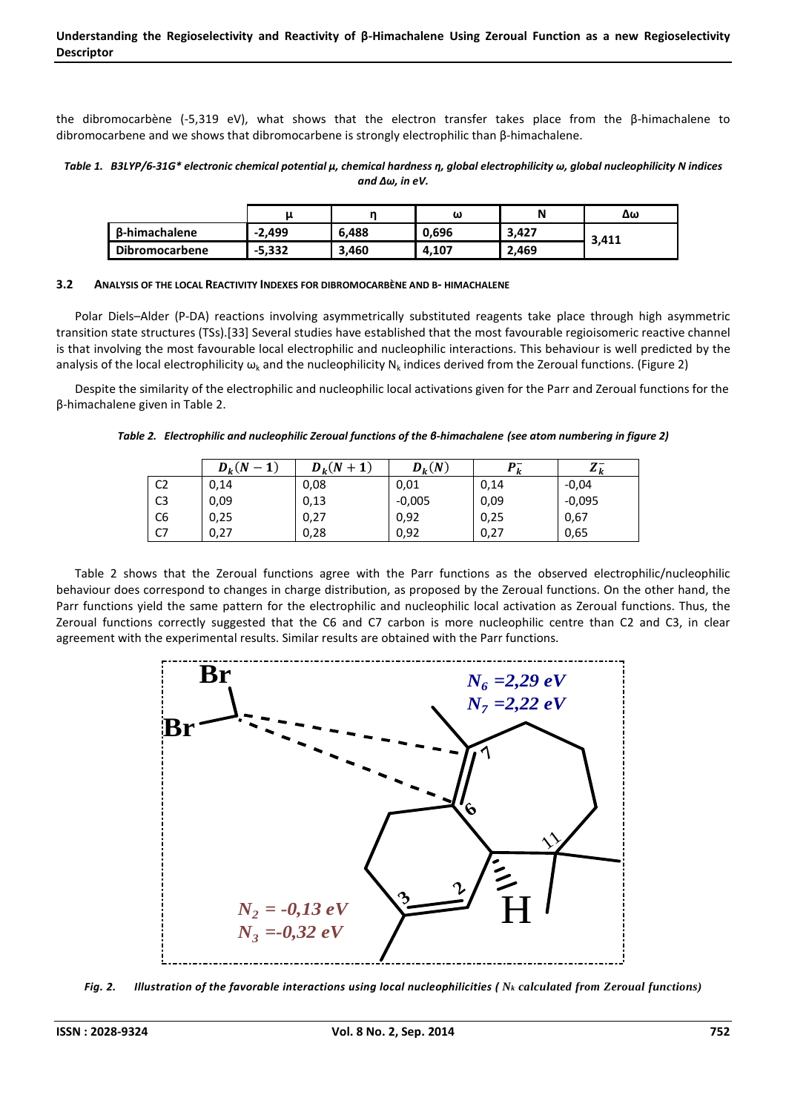the dibromocarbène (-5,319 eV), what shows that the electron transfer takes place from the β-himachalene to dibromocarbene and we shows that dibromocarbene is strongly electrophilic than β-himachalene.

#### *Table 1. B3LYP/6-31G\* electronic chemical potential μ, chemical hardness η, global electrophilicity ω, global nucleophilicity N indices and Δω, in eV.*

|                       |          |       | ω     |       | Δω    |
|-----------------------|----------|-------|-------|-------|-------|
| <b>B-himachalene</b>  | $-2.499$ | 6.488 | 0,696 | 3.427 | 3,411 |
| <b>Dibromocarbene</b> | $-5,332$ | 3,460 | 4.107 | 2.469 |       |

#### **3.2 ANALYSIS OF THE LOCAL REACTIVITY INDEXES FOR DIBROMOCARBÈNE AND Β- HIMACHALENE**

Polar Diels–Alder (P-DA) reactions involving asymmetrically substituted reagents take place through high asymmetric transition state structures (TSs).[33] Several studies have established that the most favourable regioisomeric reactive channel is that involving the most favourable local electrophilic and nucleophilic interactions. This behaviour is well predicted by the analysis of the local electrophilicity  $\omega_k$  and the nucleophilicity N<sub>k</sub> indices derived from the Zeroual functions. (Figure 2)

Despite the similarity of the electrophilic and nucleophilic local activations given for the Parr and Zeroual functions for the β-himachalene given in Table 2.

|  | Table 2. Electrophilic and nucleophilic Zeroual functions of the 6-himachalene (see atom numbering in figure 2) |  |
|--|-----------------------------------------------------------------------------------------------------------------|--|
|  |                                                                                                                 |  |

|                | $D_k(N -$ | $D_k(N+1)$ | $D_k(N)$ | $\mathbf{k}$ | L k      |
|----------------|-----------|------------|----------|--------------|----------|
| C <sub>2</sub> | 0,14      | 0,08       | 0,01     | 0,14         | $-0,04$  |
| C <sub>3</sub> | 0,09      | 0,13       | $-0,005$ | 0,09         | $-0,095$ |
| C <sub>6</sub> | 0,25      | 0,27       | 0,92     | 0,25         | 0,67     |
| C7             | 0,27      | 0,28       | 0,92     | 0,27         | 0,65     |

Table 2 shows that the Zeroual functions agree with the Parr functions as the observed electrophilic/nucleophilic behaviour does correspond to changes in charge distribution, as proposed by the Zeroual functions. On the other hand, the Parr functions yield the same pattern for the electrophilic and nucleophilic local activation as Zeroual functions. Thus, the Zeroual functions correctly suggested that the C6 and C7 carbon is more nucleophilic centre than C2 and C3, in clear agreement with the experimental results. Similar results are obtained with the Parr functions.



*Fig. 2. Illustration of the favorable interactions using local nucleophilicities ( Nk calculated from Zeroual functions)*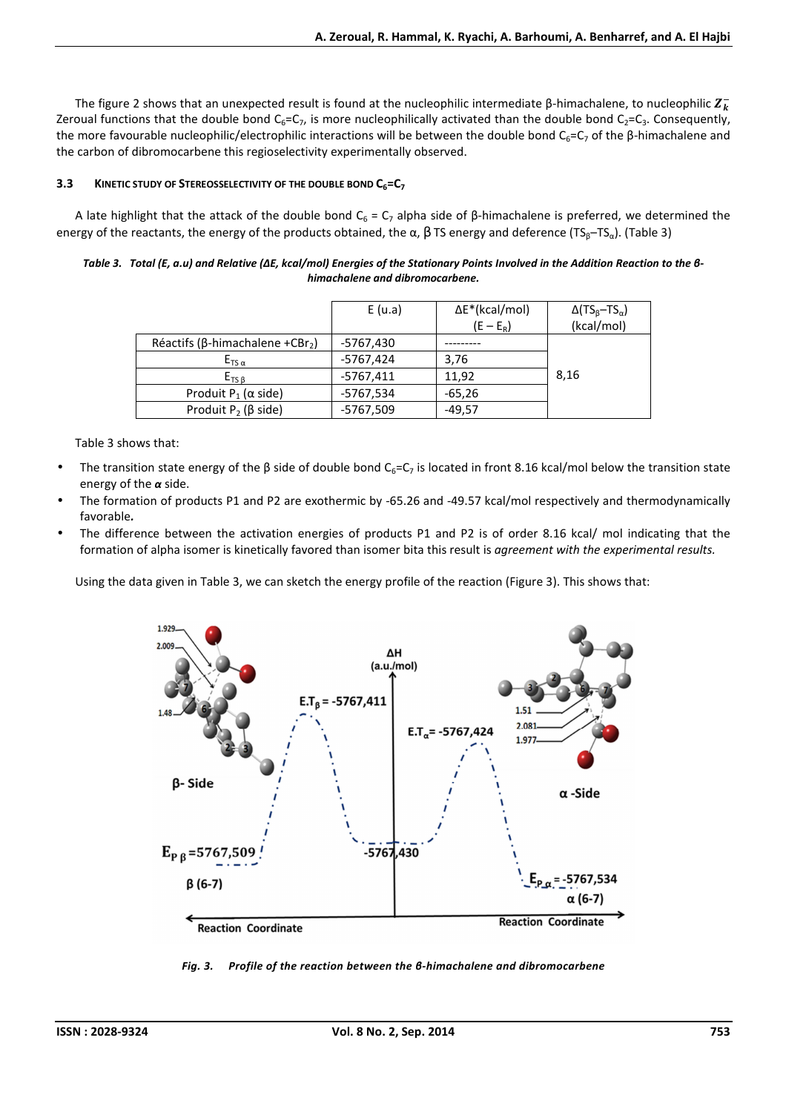The figure 2 shows that an unexpected result is found at the nucleophilic intermediate β-himachalene, to nucleophilic  $Z_k^-$ Zeroual functions that the double bond  $C_6=C_7$ , is more nucleophilically activated than the double bond  $C_2=C_3$ . Consequently, the more favourable nucleophilic/electrophilic interactions will be between the double bond  $C_6 = C_7$  of the  $\beta$ -himachalene and the carbon of dibromocarbene this regioselectivity experimentally observed.

#### **3.3 KINETIC STUDY OF STEREOSSELECTIVITY OF THE DOUBLE BOND C6=C<sup>7</sup>**

A late highlight that the attack of the double bond C<sub>6</sub> = C<sub>7</sub> alpha side of β-himachalene is preferred, we determined the energy of the reactants, the energy of the products obtained, the  $\alpha$ ,  $\beta$  TS energy and deference (TS<sub>β</sub>–TS<sub>α</sub>). (Table 3)

| Table 3. $\,$ Total (E, a.u) and Relative (ΔE, kcal/mol) Energies of the Stationary Points Involved in the Addition Reaction to the 6- |
|----------------------------------------------------------------------------------------------------------------------------------------|
| himachalene and dibromocarbene.                                                                                                        |

|                                                     | E (u.a)     | $\Delta E^*$ (kcal/mol) | $\Delta(TS_{\beta}-TS_{\alpha})$ |
|-----------------------------------------------------|-------------|-------------------------|----------------------------------|
|                                                     |             | $(E - E_R)$             | (kcal/mol)                       |
| Réactifs ( $\beta$ -himachalene +CBr <sub>2</sub> ) | -5767,430   |                         |                                  |
| $E_{TS\alpha}$                                      | $-5767,424$ | 3,76                    |                                  |
| $E_{TSB}$                                           | $-5767,411$ | 11.92                   | 8,16                             |
| Produit $P_1$ ( $\alpha$ side)                      | -5767,534   | $-65,26$                |                                  |
| Produit $P_2$ ( $\beta$ side)                       | $-5767,509$ | $-49.57$                |                                  |

Table 3 shows that:

- The transition state energy of the  $\beta$  side of double bond C<sub>6</sub>=C<sub>7</sub> is located in front 8.16 kcal/mol below the transition state energy of the *α* side.
- The formation of products P1 and P2 are exothermic by -65.26 and -49.57 kcal/mol respectively and thermodynamically favorable*.*
- The difference between the activation energies of products P1 and P2 is of order 8.16 kcal/ mol indicating that the formation of alpha isomer is kinetically favored than isomer bita this result is *agreement with the experimental results.*

Using the data given in Table 3, we can sketch the energy profile of the reaction (Figure 3). This shows that:



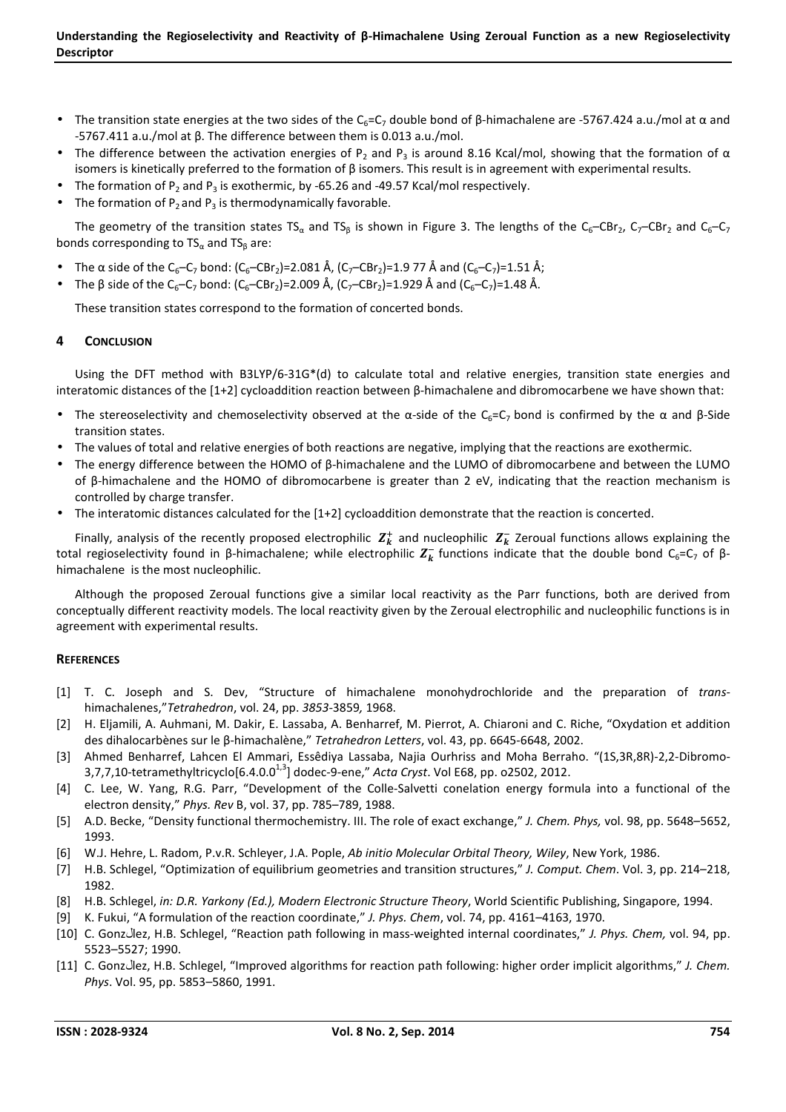- The transition state energies at the two sides of the C<sub>6</sub>=C<sub>7</sub> double bond of β-himachalene are -5767.424 a.u./mol at  $\alpha$  and -5767.411 a.u./mol at β. The difference between them is 0.013 a.u./mol.
- The difference between the activation energies of P<sub>2</sub> and P<sub>3</sub> is around 8.16 Kcal/mol, showing that the formation of  $\alpha$ isomers is kinetically preferred to the formation of β isomers. This result is in agreement with experimental results.
- The formation of  $P_2$  and  $P_3$  is exothermic, by -65.26 and -49.57 Kcal/mol respectively.
- The formation of  $P_2$  and  $P_3$  is thermodynamically favorable.

The geometry of the transition states TS<sub>α</sub> and TS<sub>β</sub> is shown in Figure 3. The lengths of the C<sub>6</sub>–CBr<sub>2</sub>, C<sub>7</sub>–CBr<sub>2</sub> and C<sub>6</sub>–C<sub>7</sub> bonds corresponding to  $TS_\alpha$  and  $TS_\beta$  are:

- The α side of the C<sub>6</sub>–C<sub>7</sub> bond: (C<sub>6</sub>–CBr<sub>2</sub>)=2.081 Å, (C<sub>7</sub>–CBr<sub>2</sub>)=1.9 77 Å and (C<sub>6</sub>–C<sub>7</sub>)=1.51 Å;
- The β side of the C<sub>6</sub>–C<sub>7</sub> bond: (C<sub>6</sub>–CBr<sub>2</sub>)=2.009 Å, (C<sub>7</sub>–CBr<sub>2</sub>)=1.929 Å and (C<sub>6</sub>–C<sub>7</sub>)=1.48 Å.

These transition states correspond to the formation of concerted bonds.

#### **4 CONCLUSION**

Using the DFT method with B3LYP/6-31G\*(d) to calculate total and relative energies, transition state energies and interatomic distances of the [1+2] cycloaddition reaction between β-himachalene and dibromocarbene we have shown that:

- The stereoselectivity and chemoselectivity observed at the  $\alpha$ -side of the C<sub>6</sub>=C<sub>7</sub> bond is confirmed by the  $\alpha$  and β-Side transition states.
- The values of total and relative energies of both reactions are negative, implying that the reactions are exothermic.
- The energy difference between the HOMO of β-himachalene and the LUMO of dibromocarbene and between the LUMO of β-himachalene and the HOMO of dibromocarbene is greater than 2 eV, indicating that the reaction mechanism is controlled by charge transfer.
- The interatomic distances calculated for the [1+2] cycloaddition demonstrate that the reaction is concerted.

Finally, analysis of the recently proposed electrophilic  $Z_k^+$  and nucleophilic  $Z_k^-$  Zeroual functions allows explaining the total regioselectivity found in β-himachalene; while electrophilic  $Z_k^-$  functions indicate that the double bond C<sub>6</sub>=C<sub>7</sub> of βhimachalene is the most nucleophilic.

Although the proposed Zeroual functions give a similar local reactivity as the Parr functions, both are derived from conceptually different reactivity models. The local reactivity given by the Zeroual electrophilic and nucleophilic functions is in agreement with experimental results.

#### **REFERENCES**

- [1] T. C. Joseph and S. Dev, "Structure of himachalene monohydrochloride and the preparation of *trans*himachalenes,"*Tetrahedron*, vol. 24, pp. *3853-*3859*,* 1968.
- [2] H. Eljamili, A. Auhmani, M. Dakir, E. Lassaba, A. Benharref, M. Pierrot, A. Chiaroni and C. Riche, "Oxydation et addition des dihalocarbènes sur le β-himachalène," *Tetrahedron Letters*, vol. 43, pp. 6645-6648, 2002.
- [3] Ahmed Benharref, Lahcen El Ammari, Essêdiya Lassaba, Najia Ourhriss and Moha Berraho. "(1S,3R,8R)-2,2-Dibromo-3,7,7,10-tetramethyltricyclo[6.4.0.0<sup>1,3</sup>] dodec-9-ene," *Acta Cryst*. Vol E68, pp. o2502, 2012.
- [4] C. Lee, W. Yang, R.G. Parr, "Development of the Colle-Salvetti conelation energy formula into a functional of the electron density," *Phys. Rev* B, vol. 37, pp. 785–789, 1988.
- [5] A.D. Becke, "Density functional thermochemistry. III. The role of exact exchange," *J. Chem. Phys,* vol. 98, pp. 5648–5652, 1993.
- [6] W.J. Hehre, L. Radom, P.v.R. Schleyer, J.A. Pople, *Ab initio Molecular Orbital Theory, Wiley*, New York, 1986.
- [7] H.B. Schlegel, "Optimization of equilibrium geometries and transition structures," *J. Comput. Chem*. Vol. 3, pp. 214–218, 1982.
- [8] H.B. Schlegel, *in: D.R. Yarkony (Ed.), Modern Electronic Structure Theory*, World Scientific Publishing, Singapore, 1994.
- [9] K. Fukui, "A formulation of the reaction coordinate," *J. Phys. Chem*, vol. 74, pp. 4161–4163, 1970.
- [10] C. Gonzلlez, H.B. Schlegel, "Reaction path following in mass-weighted internal coordinates," *J. Phys. Chem,* vol. 94, pp. 5523–5527; 1990.
- [11] C. Gonzلlez, H.B. Schlegel, "Improved algorithms for reaction path following: higher order implicit algorithms," *J. Chem. Phys*. Vol. 95, pp. 5853–5860, 1991.